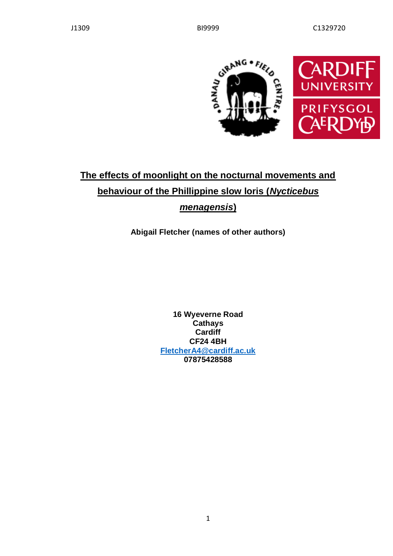

# **The effects of moonlight on the nocturnal movements and behaviour of the Phillippine slow loris (***Nycticebus menagensis***)**

**Abigail Fletcher (names of other authors)**

**16 Wyeverne Road Cathays Cardiff CF24 4BH [FletcherA4@cardiff.ac.uk](mailto:FletcherA4@cardiff.ac.uk) 07875428588**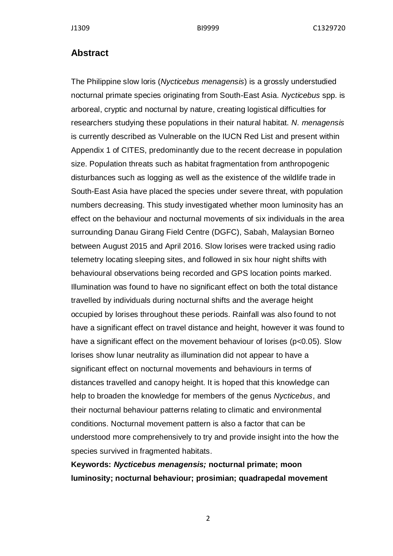#### **Abstract**

The Philippine slow loris (*Nycticebus menagensis*) is a grossly understudied nocturnal primate species originating from South-East Asia. *Nycticebus* spp. is arboreal, cryptic and nocturnal by nature, creating logistical difficulties for researchers studying these populations in their natural habitat. *N. menagensis* is currently described as Vulnerable on the IUCN Red List and present within Appendix 1 of CITES, predominantly due to the recent decrease in population size. Population threats such as habitat fragmentation from anthropogenic disturbances such as logging as well as the existence of the wildlife trade in South-East Asia have placed the species under severe threat, with population numbers decreasing. This study investigated whether moon luminosity has an effect on the behaviour and nocturnal movements of six individuals in the area surrounding Danau Girang Field Centre (DGFC), Sabah, Malaysian Borneo between August 2015 and April 2016. Slow lorises were tracked using radio telemetry locating sleeping sites, and followed in six hour night shifts with behavioural observations being recorded and GPS location points marked. Illumination was found to have no significant effect on both the total distance travelled by individuals during nocturnal shifts and the average height occupied by lorises throughout these periods. Rainfall was also found to not have a significant effect on travel distance and height, however it was found to have a significant effect on the movement behaviour of lorises (p<0.05). Slow lorises show lunar neutrality as illumination did not appear to have a significant effect on nocturnal movements and behaviours in terms of distances travelled and canopy height. It is hoped that this knowledge can help to broaden the knowledge for members of the genus *Nycticebus*, and their nocturnal behaviour patterns relating to climatic and environmental conditions. Nocturnal movement pattern is also a factor that can be understood more comprehensively to try and provide insight into the how the species survived in fragmented habitats.

**Keywords:** *Nycticebus menagensis;* **nocturnal primate; moon luminosity; nocturnal behaviour; prosimian; quadrapedal movement**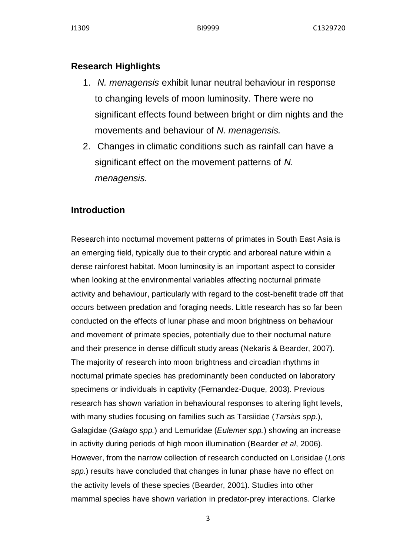# **Research Highlights**

- 1. *N. menagensis* exhibit lunar neutral behaviour in response to changing levels of moon luminosity. There were no significant effects found between bright or dim nights and the movements and behaviour of *N. menagensis.*
- 2. Changes in climatic conditions such as rainfall can have a significant effect on the movement patterns of *N. menagensis.*

# **Introduction**

Research into nocturnal movement patterns of primates in South East Asia is an emerging field, typically due to their cryptic and arboreal nature within a dense rainforest habitat. Moon luminosity is an important aspect to consider when looking at the environmental variables affecting nocturnal primate activity and behaviour, particularly with regard to the cost-benefit trade off that occurs between predation and foraging needs. Little research has so far been conducted on the effects of lunar phase and moon brightness on behaviour and movement of primate species, potentially due to their nocturnal nature and their presence in dense difficult study areas (Nekaris & Bearder, 2007). The majority of research into moon brightness and circadian rhythms in nocturnal primate species has predominantly been conducted on laboratory specimens or individuals in captivity (Fernandez-Duque, 2003). Previous research has shown variation in behavioural responses to altering light levels, with many studies focusing on families such as Tarsiidae (*Tarsius spp.*), Galagidae (*Galago spp.*) and Lemuridae (*Eulemer spp.*) showing an increase in activity during periods of high moon illumination (Bearder *et al*, 2006). However, from the narrow collection of research conducted on Lorisidae (*Loris spp.*) results have concluded that changes in lunar phase have no effect on the activity levels of these species (Bearder, 2001). Studies into other mammal species have shown variation in predator-prey interactions. Clarke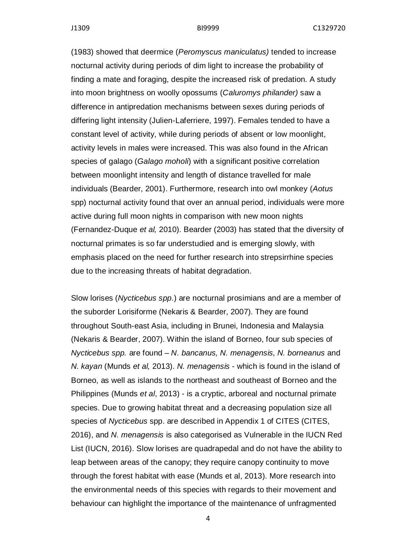(1983) showed that deermice (*Peromyscus maniculatus)* tended to increase nocturnal activity during periods of dim light to increase the probability of finding a mate and foraging, despite the increased risk of predation. A study into moon brightness on woolly opossums (*Caluromys philander)* saw a difference in antipredation mechanisms between sexes during periods of differing light intensity (Julien-Laferriere, 1997). Females tended to have a constant level of activity, while during periods of absent or low moonlight, activity levels in males were increased. This was also found in the African species of galago (*Galago moholi*) with a significant positive correlation between moonlight intensity and length of distance travelled for male individuals (Bearder, 2001). Furthermore, research into owl monkey (*Aotus*  spp) nocturnal activity found that over an annual period, individuals were more active during full moon nights in comparison with new moon nights (Fernandez-Duque *et al,* 2010). Bearder (2003) has stated that the diversity of nocturnal primates is so far understudied and is emerging slowly, with emphasis placed on the need for further research into strepsirrhine species due to the increasing threats of habitat degradation.

Slow lorises (*Nycticebus spp*.) are nocturnal prosimians and are a member of the suborder Lorisiforme (Nekaris & Bearder, 2007). They are found throughout South-east Asia, including in Brunei, Indonesia and Malaysia (Nekaris & Bearder, 2007). Within the island of Borneo, four sub species of *Nycticebus spp.* are found – *N. bancanus, N. menagensis, N. borneanus* and *N. kayan* (Munds *et al,* 2013). *N. menagensis* - which is found in the island of Borneo, as well as islands to the northeast and southeast of Borneo and the Philippines (Munds *et al*, 2013) - is a cryptic, arboreal and nocturnal primate species. Due to growing habitat threat and a decreasing population size all species of *Nycticebus* spp. are described in Appendix 1 of CITES (CITES, 2016), and *N. menagensis* is also categorised as Vulnerable in the IUCN Red List (IUCN, 2016). Slow lorises are quadrapedal and do not have the ability to leap between areas of the canopy; they require canopy continuity to move through the forest habitat with ease (Munds et al, 2013). More research into the environmental needs of this species with regards to their movement and behaviour can highlight the importance of the maintenance of unfragmented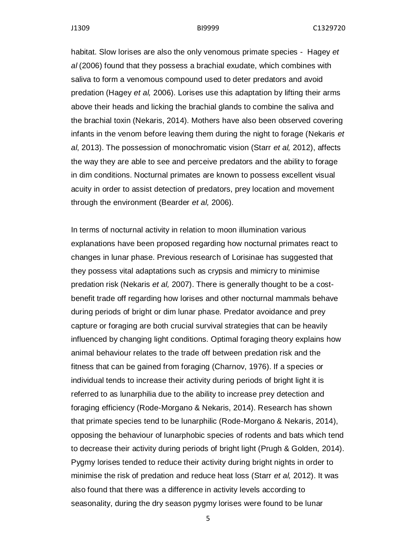habitat. Slow lorises are also the only venomous primate species - Hagey *et al* (2006) found that they possess a brachial exudate, which combines with saliva to form a venomous compound used to deter predators and avoid predation (Hagey *et al,* 2006). Lorises use this adaptation by lifting their arms above their heads and licking the brachial glands to combine the saliva and the brachial toxin (Nekaris, 2014). Mothers have also been observed covering infants in the venom before leaving them during the night to forage (Nekaris *et al*, 2013). The possession of monochromatic vision (Starr *et al,* 2012), affects the way they are able to see and perceive predators and the ability to forage in dim conditions. Nocturnal primates are known to possess excellent visual acuity in order to assist detection of predators, prey location and movement through the environment (Bearder *et al,* 2006).

In terms of nocturnal activity in relation to moon illumination various explanations have been proposed regarding how nocturnal primates react to changes in lunar phase. Previous research of Lorisinae has suggested that they possess vital adaptations such as crypsis and mimicry to minimise predation risk (Nekaris *et al,* 2007). There is generally thought to be a costbenefit trade off regarding how lorises and other nocturnal mammals behave during periods of bright or dim lunar phase. Predator avoidance and prey capture or foraging are both crucial survival strategies that can be heavily influenced by changing light conditions. Optimal foraging theory explains how animal behaviour relates to the trade off between predation risk and the fitness that can be gained from foraging (Charnov, 1976). If a species or individual tends to increase their activity during periods of bright light it is referred to as lunarphilia due to the ability to increase prey detection and foraging efficiency (Rode-Morgano & Nekaris, 2014). Research has shown that primate species tend to be lunarphilic (Rode-Morgano & Nekaris, 2014), opposing the behaviour of lunarphobic species of rodents and bats which tend to decrease their activity during periods of bright light (Prugh & Golden, 2014). Pygmy lorises tended to reduce their activity during bright nights in order to minimise the risk of predation and reduce heat loss (Starr *et al,* 2012). It was also found that there was a difference in activity levels according to seasonality, during the dry season pygmy lorises were found to be lunar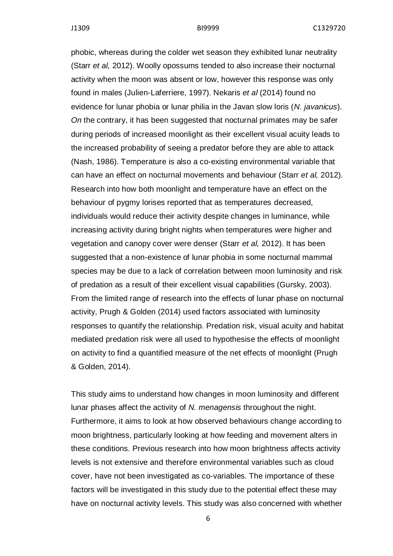phobic, whereas during the colder wet season they exhibited lunar neutrality (Starr *et al,* 2012). Woolly opossums tended to also increase their nocturnal activity when the moon was absent or low, however this response was only found in males (Julien-Laferriere, 1997). Nekaris *et al* (2014) found no evidence for lunar phobia or lunar philia in the Javan slow loris (*N. javanicus*). *On* the contrary, it has been suggested that nocturnal primates may be safer during periods of increased moonlight as their excellent visual acuity leads to the increased probability of seeing a predator before they are able to attack (Nash, 1986). Temperature is also a co-existing environmental variable that can have an effect on nocturnal movements and behaviour (Starr *et al,* 2012). Research into how both moonlight and temperature have an effect on the behaviour of pygmy lorises reported that as temperatures decreased, individuals would reduce their activity despite changes in luminance, while increasing activity during bright nights when temperatures were higher and vegetation and canopy cover were denser (Starr *et al,* 2012). It has been suggested that a non-existence of lunar phobia in some nocturnal mammal species may be due to a lack of correlation between moon luminosity and risk of predation as a result of their excellent visual capabilities (Gursky, 2003). From the limited range of research into the effects of lunar phase on nocturnal activity, Prugh & Golden (2014) used factors associated with luminosity responses to quantify the relationship. Predation risk, visual acuity and habitat mediated predation risk were all used to hypothesise the effects of moonlight on activity to find a quantified measure of the net effects of moonlight (Prugh & Golden, 2014).

This study aims to understand how changes in moon luminosity and different lunar phases affect the activity of *N. menagensis* throughout the night. Furthermore, it aims to look at how observed behaviours change according to moon brightness, particularly looking at how feeding and movement alters in these conditions. Previous research into how moon brightness affects activity levels is not extensive and therefore environmental variables such as cloud cover, have not been investigated as co-variables. The importance of these factors will be investigated in this study due to the potential effect these may have on nocturnal activity levels. This study was also concerned with whether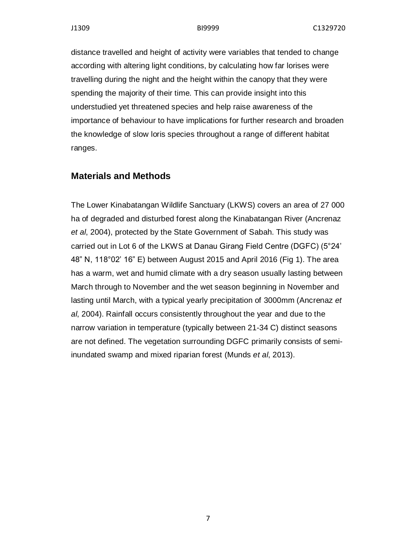distance travelled and height of activity were variables that tended to change according with altering light conditions, by calculating how far lorises were travelling during the night and the height within the canopy that they were spending the majority of their time. This can provide insight into this understudied yet threatened species and help raise awareness of the importance of behaviour to have implications for further research and broaden the knowledge of slow loris species throughout a range of different habitat ranges.

#### **Materials and Methods**

The Lower Kinabatangan Wildlife Sanctuary (LKWS) covers an area of 27 000 ha of degraded and disturbed forest along the Kinabatangan River (Ancrenaz *et al*, 2004), protected by the State Government of Sabah. This study was carried out in Lot 6 of the LKWS at Danau Girang Field Centre (DGFC) (5°24' 48" N, 118°02' 16" E) between August 2015 and April 2016 (Fig 1). The area has a warm, wet and humid climate with a dry season usually lasting between March through to November and the wet season beginning in November and lasting until March, with a typical yearly precipitation of 3000mm (Ancrenaz *et al*, 2004). Rainfall occurs consistently throughout the year and due to the narrow variation in temperature (typically between 21-34 C) distinct seasons are not defined. The vegetation surrounding DGFC primarily consists of semiinundated swamp and mixed riparian forest (Munds *et al*, 2013).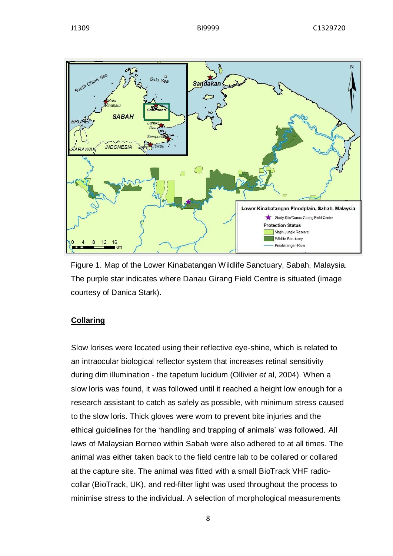



Figure 1. Map of the Lower Kinabatangan Wildlife Sanctuary, Sabah, Malaysia. The purple star indicates where Danau Girang Field Centre is situated (image courtesy of Danica Stark).

#### **Collaring**

Slow lorises were located using their reflective eye-shine, which is related to an intraocular biological reflector system that increases retinal sensitivity during dim illumination - the tapetum lucidum (Ollivier *et* al, 2004). When a slow loris was found, it was followed until it reached a height low enough for a research assistant to catch as safely as possible, with minimum stress caused to the slow loris. Thick gloves were worn to prevent bite injuries and the ethical guidelines for the 'handling and trapping of animals' was followed. All laws of Malaysian Borneo within Sabah were also adhered to at all times. The animal was either taken back to the field centre lab to be collared or collared at the capture site. The animal was fitted with a small BioTrack VHF radiocollar (BioTrack, UK), and red-filter light was used throughout the process to minimise stress to the individual. A selection of morphological measurements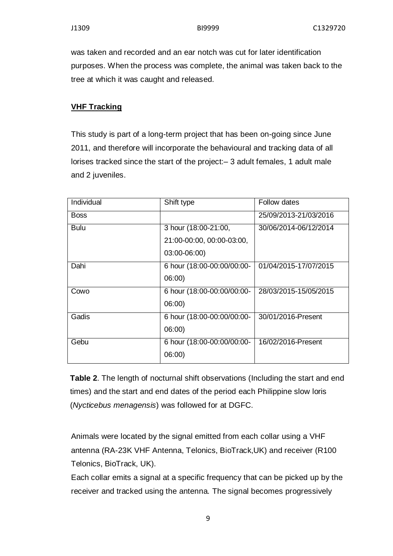was taken and recorded and an ear notch was cut for later identification purposes. When the process was complete, the animal was taken back to the tree at which it was caught and released.

### **VHF Tracking**

This study is part of a long-term project that has been on-going since June 2011, and therefore will incorporate the behavioural and tracking data of all lorises tracked since the start of the project:– 3 adult females, 1 adult male and 2 juveniles.

| Shift type                 | <b>Follow dates</b>   |
|----------------------------|-----------------------|
|                            | 25/09/2013-21/03/2016 |
| 3 hour (18:00-21:00,       | 30/06/2014-06/12/2014 |
| 21:00-00:00, 00:00-03:00,  |                       |
| 03:00-06:00)               |                       |
| 6 hour (18:00-00:00/00:00- | 01/04/2015-17/07/2015 |
| 06:00)                     |                       |
| 6 hour (18:00-00:00/00:00- | 28/03/2015-15/05/2015 |
| 06:00)                     |                       |
| 6 hour (18:00-00:00/00:00- | 30/01/2016-Present    |
| 06:00                      |                       |
| 6 hour (18:00-00:00/00:00- | 16/02/2016-Present    |
| 06:00)                     |                       |
|                            |                       |

**Table 2**. The length of nocturnal shift observations (Including the start and end times) and the start and end dates of the period each Philippine slow loris (*Nycticebus menagensis*) was followed for at DGFC.

Animals were located by the signal emitted from each collar using a VHF antenna (RA-23K VHF Antenna, Telonics, BioTrack,UK) and receiver (R100 Telonics, BioTrack, UK).

Each collar emits a signal at a specific frequency that can be picked up by the receiver and tracked using the antenna. The signal becomes progressively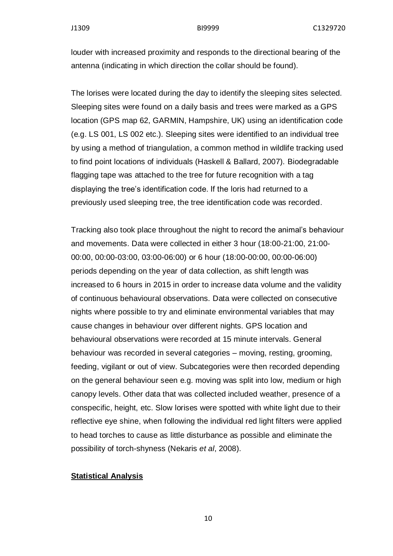louder with increased proximity and responds to the directional bearing of the antenna (indicating in which direction the collar should be found).

The lorises were located during the day to identify the sleeping sites selected. Sleeping sites were found on a daily basis and trees were marked as a GPS location (GPS map 62, GARMIN, Hampshire, UK) using an identification code (e.g. LS 001, LS 002 etc.). Sleeping sites were identified to an individual tree by using a method of triangulation, a common method in wildlife tracking used to find point locations of individuals (Haskell & Ballard, 2007). Biodegradable flagging tape was attached to the tree for future recognition with a tag displaying the tree's identification code. If the loris had returned to a previously used sleeping tree, the tree identification code was recorded.

Tracking also took place throughout the night to record the animal's behaviour and movements. Data were collected in either 3 hour (18:00-21:00, 21:00- 00:00, 00:00-03:00, 03:00-06:00) or 6 hour (18:00-00:00, 00:00-06:00) periods depending on the year of data collection, as shift length was increased to 6 hours in 2015 in order to increase data volume and the validity of continuous behavioural observations. Data were collected on consecutive nights where possible to try and eliminate environmental variables that may cause changes in behaviour over different nights. GPS location and behavioural observations were recorded at 15 minute intervals. General behaviour was recorded in several categories – moving, resting, grooming, feeding, vigilant or out of view. Subcategories were then recorded depending on the general behaviour seen e.g. moving was split into low, medium or high canopy levels. Other data that was collected included weather, presence of a conspecific, height, etc. Slow lorises were spotted with white light due to their reflective eye shine, when following the individual red light filters were applied to head torches to cause as little disturbance as possible and eliminate the possibility of torch-shyness (Nekaris *et al*, 2008).

#### **Statistical Analysis**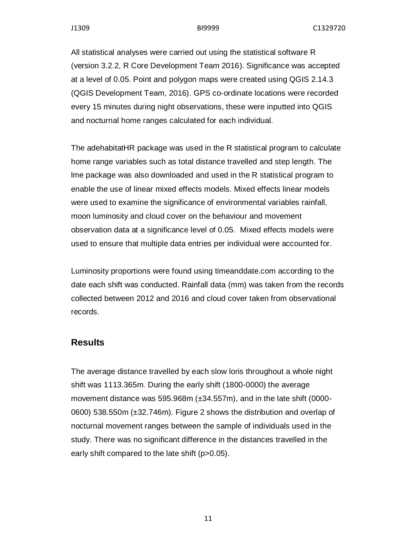All statistical analyses were carried out using the statistical software R (version 3.2.2, R Core Development Team 2016). Significance was accepted at a level of 0.05. Point and polygon maps were created using QGIS 2.14.3 (QGIS Development Team, 2016). GPS co-ordinate locations were recorded every 15 minutes during night observations, these were inputted into QGIS and nocturnal home ranges calculated for each individual.

The adehabitatHR package was used in the R statistical program to calculate home range variables such as total distance travelled and step length. The lme package was also downloaded and used in the R statistical program to enable the use of linear mixed effects models. Mixed effects linear models were used to examine the significance of environmental variables rainfall, moon luminosity and cloud cover on the behaviour and movement observation data at a significance level of 0.05. Mixed effects models were used to ensure that multiple data entries per individual were accounted for.

Luminosity proportions were found using timeanddate.com according to the date each shift was conducted. Rainfall data (mm) was taken from the records collected between 2012 and 2016 and cloud cover taken from observational records.

### **Results**

The average distance travelled by each slow loris throughout a whole night shift was 1113.365m. During the early shift (1800-0000) the average movement distance was 595.968m (±34.557m), and in the late shift (0000- 0600) 538.550m (±32.746m). Figure 2 shows the distribution and overlap of nocturnal movement ranges between the sample of individuals used in the study. There was no significant difference in the distances travelled in the early shift compared to the late shift (p>0.05).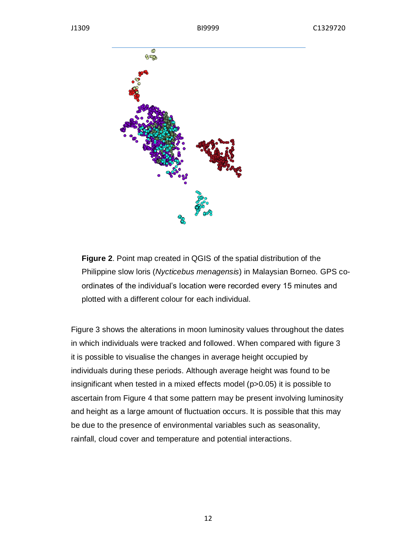

**Figure 2**. Point map created in QGIS of the spatial distribution of the Philippine slow loris (*Nycticebus menagensis*) in Malaysian Borneo. GPS coordinates of the individual's location were recorded every 15 minutes and plotted with a different colour for each individual.

Figure 3 shows the alterations in moon luminosity values throughout the dates in which individuals were tracked and followed. When compared with figure 3 it is possible to visualise the changes in average height occupied by individuals during these periods. Although average height was found to be insignificant when tested in a mixed effects model (p>0.05) it is possible to ascertain from Figure 4 that some pattern may be present involving luminosity and height as a large amount of fluctuation occurs. It is possible that this may be due to the presence of environmental variables such as seasonality, rainfall, cloud cover and temperature and potential interactions.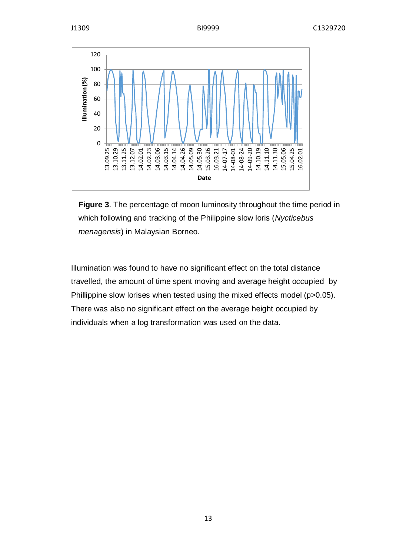

**Figure 3**. The percentage of moon luminosity throughout the time period in which following and tracking of the Philippine slow loris (*Nycticebus menagensis*) in Malaysian Borneo.

Illumination was found to have no significant effect on the total distance travelled, the amount of time spent moving and average height occupied by Phillippine slow lorises when tested using the mixed effects model (p>0.05). There was also no significant effect on the average height occupied by individuals when a log transformation was used on the data.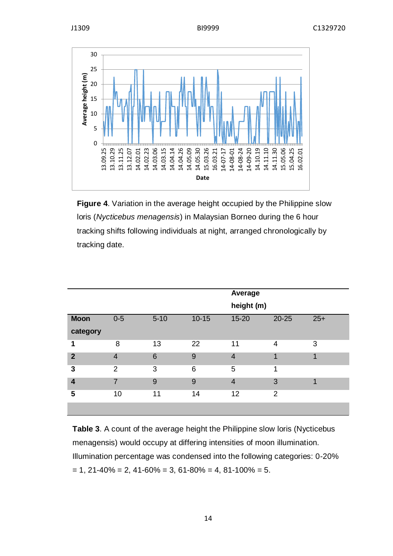

**Figure 4.** Variation in the average height occupied by the Philippine slow loris (*Nycticebus menagensis*) in Malaysian Borneo during the 6 hour tracking shifts following individuals at night, arranged chronologically by tracking date.

|                         |                |          |           | <b>Average</b><br>height (m) |           |       |
|-------------------------|----------------|----------|-----------|------------------------------|-----------|-------|
| <b>Moon</b>             | $0-5$          | $5 - 10$ | $10 - 15$ | $15 - 20$                    | $20 - 25$ | $25+$ |
| category                |                |          |           |                              |           |       |
| 1                       | 8              | 13       | 22        | 11                           | 4         | 3     |
| $\mathbf{2}$            | $\overline{4}$ | 6        | 9         | $\overline{4}$               | 4         | 1     |
| 3                       | $\overline{2}$ | 3        | 6         | 5                            | 1         |       |
| $\overline{\mathbf{4}}$ | $\overline{7}$ | 9        | 9         | $\overline{4}$               | 3         | 1     |
| 5                       | 10             | 11       | 14        | 12                           | 2         |       |
|                         |                |          |           |                              |           |       |

**Table 3**. A count of the average height the Philippine slow loris (Nycticebus menagensis) would occupy at differing intensities of moon illumination. Illumination percentage was condensed into the following categories: 0-20%  $= 1, 21-40\% = 2, 41-60\% = 3, 61-80\% = 4, 81-100\% = 5.$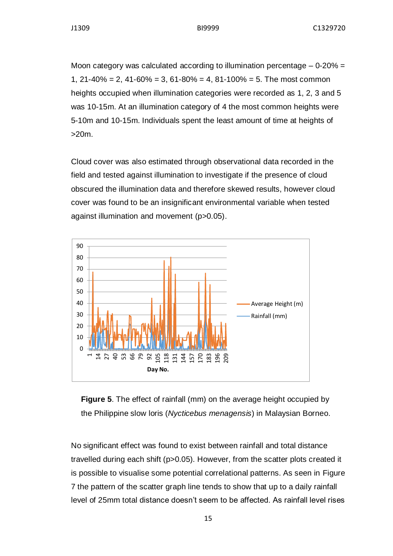Moon category was calculated according to illumination percentage  $-0.20\%$  = 1,  $21-40\% = 2$ ,  $41-60\% = 3$ ,  $61-80\% = 4$ ,  $81-100\% = 5$ . The most common heights occupied when illumination categories were recorded as 1, 2, 3 and 5 was 10-15m. At an illumination category of 4 the most common heights were 5-10m and 10-15m. Individuals spent the least amount of time at heights of >20m.

Cloud cover was also estimated through observational data recorded in the field and tested against illumination to investigate if the presence of cloud obscured the illumination data and therefore skewed results, however cloud cover was found to be an insignificant environmental variable when tested against illumination and movement (p>0.05).





No significant effect was found to exist between rainfall and total distance travelled during each shift (p>0.05). However, from the scatter plots created it is possible to visualise some potential correlational patterns. As seen in Figure 7 the pattern of the scatter graph line tends to show that up to a daily rainfall level of 25mm total distance doesn't seem to be affected. As rainfall level rises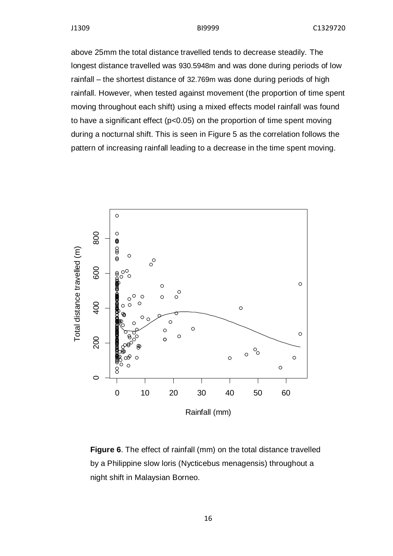above 25mm the total distance travelled tends to decrease steadily. The longest distance travelled was 930.5948m and was done during periods of low rainfall – the shortest distance of 32.769m was done during periods of high rainfall. However, when tested against movement (the proportion of time spent moving throughout each shift) using a mixed effects model rainfall was found to have a significant effect (p<0.05) on the proportion of time spent moving during a nocturnal shift. This is seen in Figure 5 as the correlation follows the pattern of increasing rainfall leading to a decrease in the time spent moving.



**Figure 6**. The effect of rainfall (mm) on the total distance travelled by a Philippine slow loris (Nycticebus menagensis) throughout a night shift in Malaysian Borneo.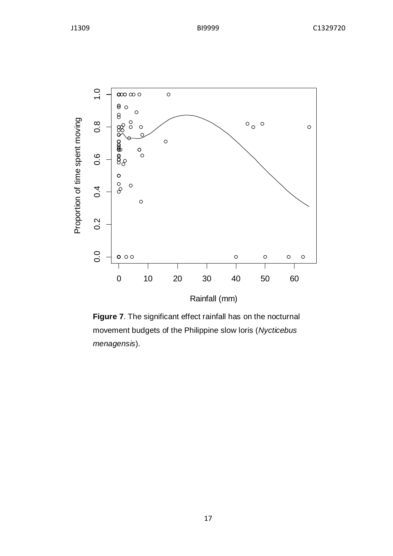

**Figure 7**. The significant effect rainfall has on the nocturnal movement budgets of the Philippine slow loris (*Nycticebus menagensis*).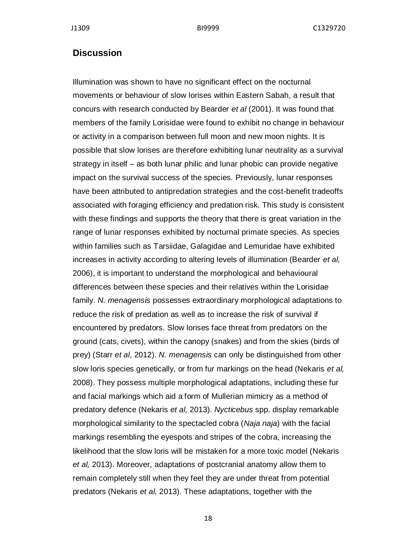J1309 BI9999 C1329720

#### **Discussion**

Illumination was shown to have no significant effect on the nocturnal movements or behaviour of slow lorises within Eastern Sabah, a result that concurs with research conducted by Bearder *et al* (2001). It was found that members of the family Lorisidae were found to exhibit no change in behaviour or activity in a comparison between full moon and new moon nights. It is possible that slow lorises are therefore exhibiting lunar neutrality as a survival strategy in itself – as both lunar philic and lunar phobic can provide negative impact on the survival success of the species. Previously, lunar responses have been attributed to antipredation strategies and the cost-benefit tradeoffs associated with foraging efficiency and predation risk. This study is consistent with these findings and supports the theory that there is great variation in the range of lunar responses exhibited by nocturnal primate species. As species within families such as Tarsiidae, Galagidae and Lemuridae have exhibited increases in activity according to altering levels of illumination (Bearder *et al,* 2006), it is important to understand the morphological and behavioural differences between these species and their relatives within the Lorisidae family. *N. menagensis* possesses extraordinary morphological adaptations to reduce the risk of predation as well as to increase the risk of survival if encountered by predators. Slow lorises face threat from predators on the ground (cats, civets), within the canopy (snakes) and from the skies (birds of prey) (Starr *et al*, 2012). *N. menagensis* can only be distinguished from other slow loris species genetically, or from fur markings on the head (Nekaris *et al,* 2008). They possess multiple morphological adaptations, including these fur and facial markings which aid a form of Mullerian mimicry as a method of predatory defence (Nekaris *et al,* 2013). *Nycticebus* spp. display remarkable morphological similarity to the spectacled cobra (*Naja naja*) with the facial markings resembling the eyespots and stripes of the cobra, increasing the likelihood that the slow loris will be mistaken for a more toxic model (Nekaris *et al,* 2013). Moreover, adaptations of postcranial anatomy allow them to remain completely still when they feel they are under threat from potential predators (Nekaris *et al,* 2013). These adaptations, together with the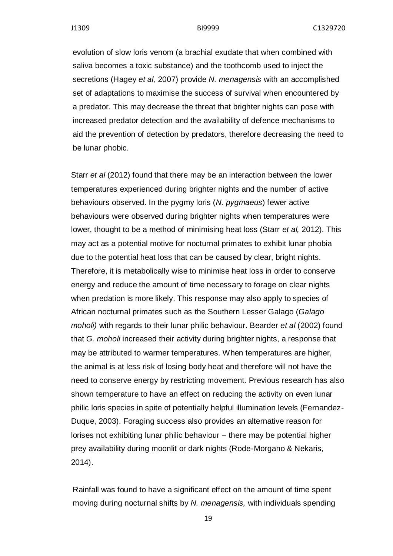evolution of slow loris venom (a brachial exudate that when combined with saliva becomes a toxic substance) and the toothcomb used to inject the secretions (Hagey *et al,* 2007) provide *N. menagensis* with an accomplished set of adaptations to maximise the success of survival when encountered by a predator. This may decrease the threat that brighter nights can pose with increased predator detection and the availability of defence mechanisms to aid the prevention of detection by predators, therefore decreasing the need to be lunar phobic.

Starr *et al* (2012) found that there may be an interaction between the lower temperatures experienced during brighter nights and the number of active behaviours observed. In the pygmy loris (*N. pygmaeus*) fewer active behaviours were observed during brighter nights when temperatures were lower, thought to be a method of minimising heat loss (Starr *et al,* 2012). This may act as a potential motive for nocturnal primates to exhibit lunar phobia due to the potential heat loss that can be caused by clear, bright nights. Therefore, it is metabolically wise to minimise heat loss in order to conserve energy and reduce the amount of time necessary to forage on clear nights when predation is more likely. This response may also apply to species of African nocturnal primates such as the Southern Lesser Galago (*Galago moholi)* with regards to their lunar philic behaviour. Bearder *et al* (2002) found that *G. moholi* increased their activity during brighter nights, a response that may be attributed to warmer temperatures. When temperatures are higher, the animal is at less risk of losing body heat and therefore will not have the need to conserve energy by restricting movement. Previous research has also shown temperature to have an effect on reducing the activity on even lunar philic loris species in spite of potentially helpful illumination levels (Fernandez-Duque, 2003). Foraging success also provides an alternative reason for lorises not exhibiting lunar philic behaviour – there may be potential higher prey availability during moonlit or dark nights (Rode-Morgano & Nekaris, 2014).

Rainfall was found to have a significant effect on the amount of time spent moving during nocturnal shifts by *N. menagensis,* with individuals spending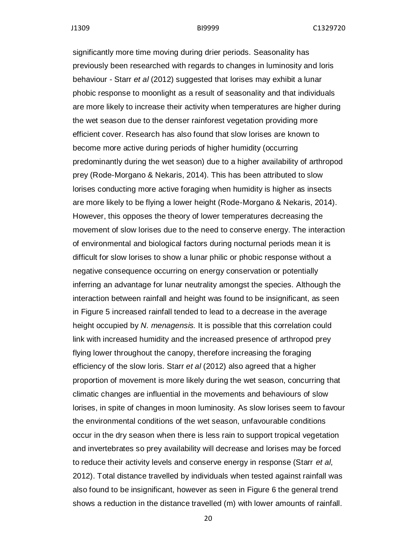significantly more time moving during drier periods. Seasonality has previously been researched with regards to changes in luminosity and loris behaviour - Starr *et al* (2012) suggested that lorises may exhibit a lunar phobic response to moonlight as a result of seasonality and that individuals are more likely to increase their activity when temperatures are higher during the wet season due to the denser rainforest vegetation providing more efficient cover. Research has also found that slow lorises are known to become more active during periods of higher humidity (occurring predominantly during the wet season) due to a higher availability of arthropod prey (Rode-Morgano & Nekaris, 2014). This has been attributed to slow lorises conducting more active foraging when humidity is higher as insects are more likely to be flying a lower height (Rode-Morgano & Nekaris, 2014). However, this opposes the theory of lower temperatures decreasing the movement of slow lorises due to the need to conserve energy. The interaction of environmental and biological factors during nocturnal periods mean it is difficult for slow lorises to show a lunar philic or phobic response without a negative consequence occurring on energy conservation or potentially inferring an advantage for lunar neutrality amongst the species. Although the interaction between rainfall and height was found to be insignificant, as seen in Figure 5 increased rainfall tended to lead to a decrease in the average height occupied by *N. menagensis.* It is possible that this correlation could link with increased humidity and the increased presence of arthropod prey flying lower throughout the canopy, therefore increasing the foraging efficiency of the slow loris. Starr *et al* (2012) also agreed that a higher proportion of movement is more likely during the wet season, concurring that climatic changes are influential in the movements and behaviours of slow lorises, in spite of changes in moon luminosity. As slow lorises seem to favour the environmental conditions of the wet season, unfavourable conditions occur in the dry season when there is less rain to support tropical vegetation and invertebrates so prey availability will decrease and lorises may be forced to reduce their activity levels and conserve energy in response (Starr *et al*, 2012). Total distance travelled by individuals when tested against rainfall was also found to be insignificant, however as seen in Figure 6 the general trend shows a reduction in the distance travelled (m) with lower amounts of rainfall.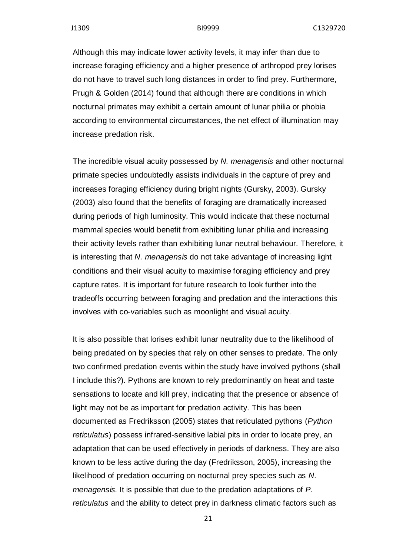Although this may indicate lower activity levels, it may infer than due to increase foraging efficiency and a higher presence of arthropod prey lorises do not have to travel such long distances in order to find prey. Furthermore, Prugh & Golden (2014) found that although there are conditions in which nocturnal primates may exhibit a certain amount of lunar philia or phobia according to environmental circumstances, the net effect of illumination may increase predation risk.

The incredible visual acuity possessed by *N. menagensis* and other nocturnal primate species undoubtedly assists individuals in the capture of prey and increases foraging efficiency during bright nights (Gursky, 2003). Gursky (2003) also found that the benefits of foraging are dramatically increased during periods of high luminosity. This would indicate that these nocturnal mammal species would benefit from exhibiting lunar philia and increasing their activity levels rather than exhibiting lunar neutral behaviour. Therefore, it is interesting that *N. menagensis* do not take advantage of increasing light conditions and their visual acuity to maximise foraging efficiency and prey capture rates. It is important for future research to look further into the tradeoffs occurring between foraging and predation and the interactions this involves with co-variables such as moonlight and visual acuity.

It is also possible that lorises exhibit lunar neutrality due to the likelihood of being predated on by species that rely on other senses to predate. The only two confirmed predation events within the study have involved pythons (shall I include this?). Pythons are known to rely predominantly on heat and taste sensations to locate and kill prey, indicating that the presence or absence of light may not be as important for predation activity. This has been documented as Fredriksson (2005) states that reticulated pythons (*Python reticulatus*) possess infrared-sensitive labial pits in order to locate prey, an adaptation that can be used effectively in periods of darkness. They are also known to be less active during the day (Fredriksson, 2005), increasing the likelihood of predation occurring on nocturnal prey species such as *N. menagensis.* It is possible that due to the predation adaptations of *P. reticulatus* and the ability to detect prey in darkness climatic factors such as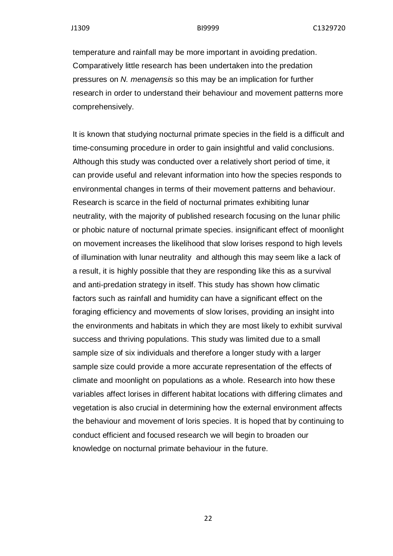temperature and rainfall may be more important in avoiding predation. Comparatively little research has been undertaken into the predation pressures on *N. menagensis* so this may be an implication for further research in order to understand their behaviour and movement patterns more comprehensively.

It is known that studying nocturnal primate species in the field is a difficult and time-consuming procedure in order to gain insightful and valid conclusions. Although this study was conducted over a relatively short period of time, it can provide useful and relevant information into how the species responds to environmental changes in terms of their movement patterns and behaviour. Research is scarce in the field of nocturnal primates exhibiting lunar neutrality, with the majority of published research focusing on the lunar philic or phobic nature of nocturnal primate species. insignificant effect of moonlight on movement increases the likelihood that slow lorises respond to high levels of illumination with lunar neutrality and although this may seem like a lack of a result, it is highly possible that they are responding like this as a survival and anti-predation strategy in itself. This study has shown how climatic factors such as rainfall and humidity can have a significant effect on the foraging efficiency and movements of slow lorises, providing an insight into the environments and habitats in which they are most likely to exhibit survival success and thriving populations. This study was limited due to a small sample size of six individuals and therefore a longer study with a larger sample size could provide a more accurate representation of the effects of climate and moonlight on populations as a whole. Research into how these variables affect lorises in different habitat locations with differing climates and vegetation is also crucial in determining how the external environment affects the behaviour and movement of loris species. It is hoped that by continuing to conduct efficient and focused research we will begin to broaden our knowledge on nocturnal primate behaviour in the future.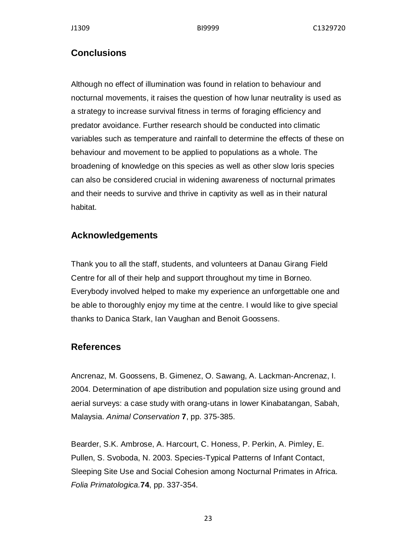# **Conclusions**

Although no effect of illumination was found in relation to behaviour and nocturnal movements, it raises the question of how lunar neutrality is used as a strategy to increase survival fitness in terms of foraging efficiency and predator avoidance. Further research should be conducted into climatic variables such as temperature and rainfall to determine the effects of these on behaviour and movement to be applied to populations as a whole. The broadening of knowledge on this species as well as other slow loris species can also be considered crucial in widening awareness of nocturnal primates and their needs to survive and thrive in captivity as well as in their natural habitat.

# **Acknowledgements**

Thank you to all the staff, students, and volunteers at Danau Girang Field Centre for all of their help and support throughout my time in Borneo. Everybody involved helped to make my experience an unforgettable one and be able to thoroughly enjoy my time at the centre. I would like to give special thanks to Danica Stark, Ian Vaughan and Benoit Goossens.

# **References**

Ancrenaz, M. Goossens, B. Gimenez, O. Sawang, A. Lackman-Ancrenaz, I. 2004. Determination of ape distribution and population size using ground and aerial surveys: a case study with orang-utans in lower Kinabatangan, Sabah, Malaysia. *Animal Conservation* **7**, pp. 375-385.

Bearder, S.K. Ambrose, A. Harcourt, C. Honess, P. Perkin, A. Pimley, E. Pullen, S. Svoboda, N. 2003. Species-Typical Patterns of Infant Contact, Sleeping Site Use and Social Cohesion among Nocturnal Primates in Africa. *Folia Primatologica.***74**, pp. 337-354.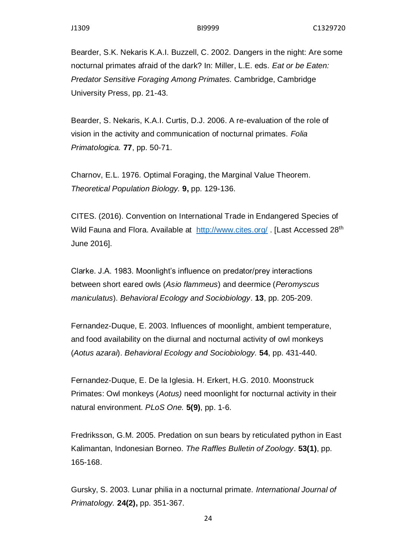Bearder, S.K. Nekaris K.A.I. Buzzell, C. 2002. Dangers in the night: Are some nocturnal primates afraid of the dark? In: Miller, L.E. eds. *Eat or be Eaten: Predator Sensitive Foraging Among Primates.* Cambridge, Cambridge University Press, pp. 21-43.

Bearder, S. Nekaris, K.A.I. Curtis, D.J. 2006. A re-evaluation of the role of vision in the activity and communication of nocturnal primates. *Folia Primatologica.* **77**, pp. 50-71.

Charnov, E.L. 1976. Optimal Foraging, the Marginal Value Theorem. *Theoretical Population Biology.* **9,** pp. 129-136.

CITES. (2016). Convention on International Trade in Endangered Species of Wild Fauna and Flora. Available at <http://www.cites.org/> . [Last Accessed 28<sup>th</sup> June 2016].

Clarke. J.A. 1983. Moonlight's influence on predator/prey interactions between short eared owls (*Asio flammeus*) and deermice (*Peromyscus maniculatus*). *Behavioral Ecology and Sociobiology*. **13**, pp. 205-209.

Fernandez-Duque, E. 2003. Influences of moonlight, ambient temperature, and food availability on the diurnal and nocturnal activity of owl monkeys (*Aotus azarai*). *Behavioral Ecology and Sociobiology.* **54**, pp. 431-440.

Fernandez-Duque, E. De la Iglesia. H. Erkert, H.G. 2010. Moonstruck Primates: Owl monkeys (*Aotus)* need moonlight for nocturnal activity in their natural environment. *PLoS One.* **5(9)**, pp. 1-6.

Fredriksson, G.M. 2005. Predation on sun bears by reticulated python in East Kalimantan, Indonesian Borneo. *The Raffles Bulletin of Zoology*. **53(1)**, pp. 165-168.

Gursky, S. 2003. Lunar philia in a nocturnal primate. *International Journal of Primatology.* **24(2),** pp. 351-367.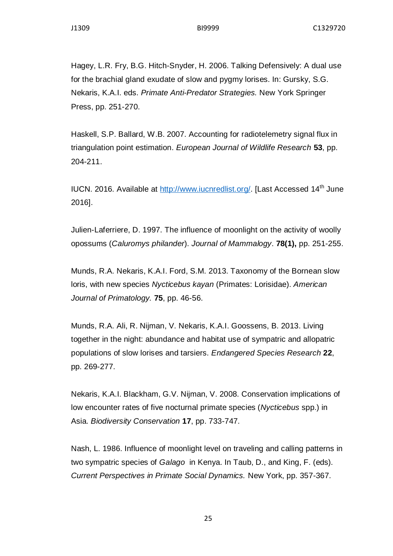Hagey, L.R. Fry, B.G. Hitch-Snyder, H. 2006. Talking Defensively: A dual use for the brachial gland exudate of slow and pygmy lorises. In: Gursky, S.G. Nekaris, K.A.I. eds. *Primate Anti-Predator Strategies.* New York Springer Press, pp. 251-270.

Haskell, S.P. Ballard, W.B. 2007. Accounting for radiotelemetry signal flux in triangulation point estimation. *European Journal of Wildlife Research* **53**, pp. 204-211.

IUCN. 2016. Available at [http://www.iucnredlist.org/.](http://www.iucnredlist.org/) [Last Accessed 14<sup>th</sup> June 2016].

Julien-Laferriere, D. 1997. The influence of moonlight on the activity of woolly opossums (*Caluromys philander*). *Journal of Mammalogy*. **78(1),** pp. 251-255.

Munds, R.A. Nekaris, K.A.I. Ford, S.M. 2013. Taxonomy of the Bornean slow loris, with new species *Nycticebus kayan* (Primates: Lorisidae). *American Journal of Primatology.* **75**, pp. 46-56.

Munds, R.A. Ali, R. Nijman, V. Nekaris, K.A.I. Goossens, B. 2013. Living together in the night: abundance and habitat use of sympatric and allopatric populations of slow lorises and tarsiers. *Endangered Species Research* **22**, pp. 269-277.

Nekaris, K.A.I. Blackham, G.V. Nijman, V. 2008. Conservation implications of low encounter rates of five nocturnal primate species (*Nycticebus* spp.) in Asia. *Biodiversity Conservation* **17**, pp. 733-747.

Nash, L. 1986. Influence of moonlight level on traveling and calling patterns in two sympatric species of *Galago* in Kenya. In Taub, D., and King, F. (eds). *Current Perspectives in Primate Social Dynamics.* New York, pp. 357-367.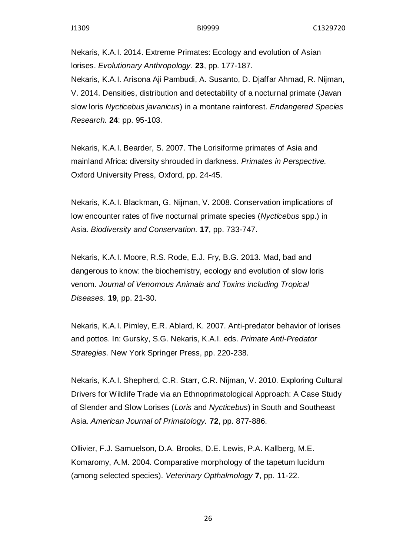Nekaris, K.A.I. 2014. Extreme Primates: Ecology and evolution of Asian lorises. *Evolutionary Anthropology.* **23**, pp. 177-187.

Nekaris, K.A.I. Arisona Aji Pambudi, A. Susanto, D. Djaffar Ahmad, R. Nijman, V. 2014. Densities, distribution and detectability of a nocturnal primate (Javan slow loris *Nycticebus javanicus*) in a montane rainforest. *Endangered Species Research.* **24**: pp. 95-103.

Nekaris, K.A.I. Bearder, S. 2007. The Lorisiforme primates of Asia and mainland Africa: diversity shrouded in darkness. *Primates in Perspective.*  Oxford University Press, Oxford, pp. 24-45.

Nekaris, K.A.I. Blackman, G. Nijman, V. 2008. Conservation implications of low encounter rates of five nocturnal primate species (*Nycticebus* spp.) in Asia. *Biodiversity and Conservation.* **17**, pp. 733-747.

Nekaris, K.A.I. Moore, R.S. Rode, E.J. Fry, B.G. 2013. Mad, bad and dangerous to know: the biochemistry, ecology and evolution of slow loris venom. *Journal of Venomous Animals and Toxins including Tropical Diseases.* **19**, pp. 21-30.

Nekaris, K.A.I. Pimley, E.R. Ablard, K. 2007. Anti-predator behavior of lorises and pottos. In: Gursky, S.G. Nekaris, K.A.I. eds. *Primate Anti-Predator Strategies.* New York Springer Press, pp. 220-238.

Nekaris, K.A.I. Shepherd, C.R. Starr, C.R. Nijman, V. 2010. Exploring Cultural Drivers for Wildlife Trade via an Ethnoprimatological Approach: A Case Study of Slender and Slow Lorises (*Loris* and *Nycticebus*) in South and Southeast Asia. *American Journal of Primatology.* **72**, pp. 877-886.

Ollivier, F.J. Samuelson, D.A. Brooks, D.E. Lewis, P.A. Kallberg, M.E. Komaromy, A.M. 2004. Comparative morphology of the tapetum lucidum (among selected species). *Veterinary Opthalmology* **7**, pp. 11-22.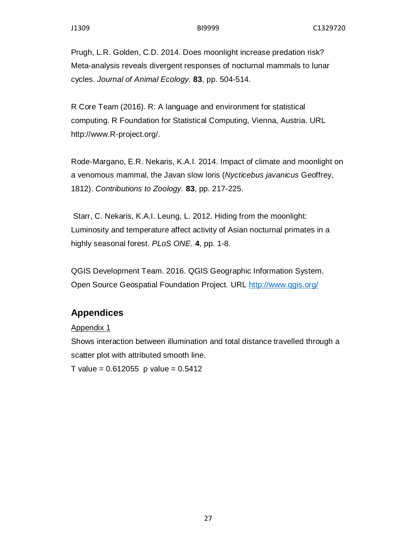Prugh, L.R. Golden, C.D. 2014. Does moonlight increase predation risk? Meta-analysis reveals divergent responses of nocturnal mammals to lunar cycles. *Journal of Animal Ecology.* **83**, pp. 504-514.

R Core Team (2016). R: A language and environment for statistical computing. R Foundation for Statistical Computing, Vienna, Austria. URL http://www.R-project.org/.

Rode-Margano, E.R. Nekaris, K.A.I. 2014. Impact of climate and moonlight on a venomous mammal, the Javan slow loris (*Nycticebus javanicus* Geoffrey, 1812). *Contributions to Zoology.* **83**, pp. 217-225.

Starr, C. Nekaris, K.A.I. Leung, L. 2012. Hiding from the moonlight: Luminosity and temperature affect activity of Asian nocturnal primates in a highly seasonal forest. *PLoS ONE.* **4**, pp. 1-8.

QGIS Development Team. 2016. QGIS Geographic Information System. Open Source Geospatial Foundation Project. URL<http://www.qgis.org/>

# **Appendices**

### Appendix 1

Shows interaction between illumination and total distance travelled through a scatter plot with attributed smooth line.

T value =  $0.612055$  p value =  $0.5412$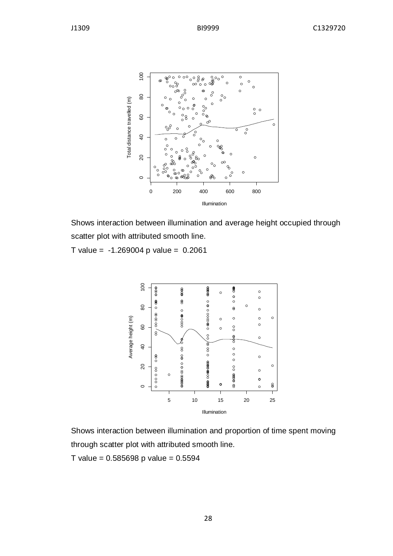

Shows interaction between illumination and average height occupied through scatter plot with attributed smooth line.

T value =  $-1.269004$  p value = 0.2061



Shows interaction between illumination and proportion of time spent moving through scatter plot with attributed smooth line.

 $T$  value = 0.585698 p value = 0.5594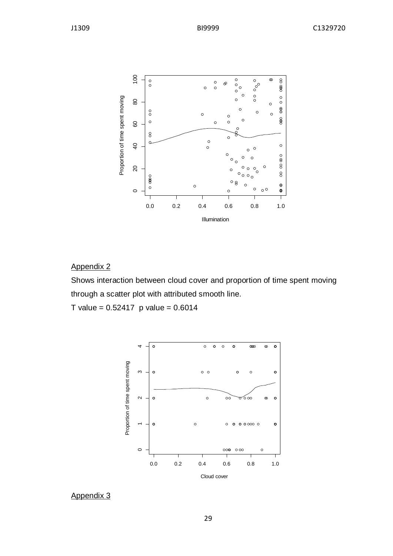

## Appendix 2

Shows interaction between cloud cover and proportion of time spent moving through a scatter plot with attributed smooth line.

T value =  $0.52417$  p value =  $0.6014$ 



#### Appendix 3